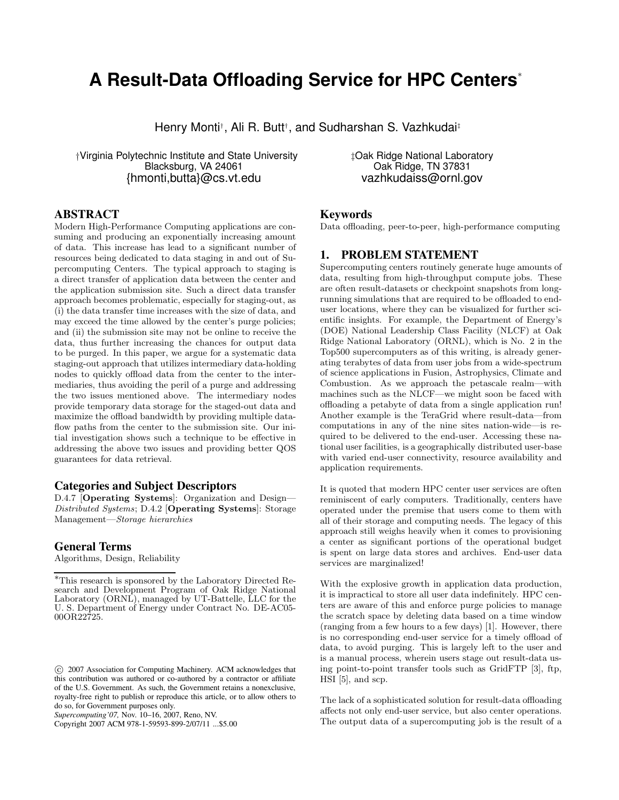# **A Result-Data Offloading Service for HPC Centers**<sup>∗</sup>

Henry Monti† , Ali R. Butt† , and Sudharshan S. Vazhkudai‡

†Virginia Polytechnic Institute and State University Blacksburg, VA 24061 {hmonti,butta}@cs.vt.edu

# **ABSTRACT**

Modern High-Performance Computing applications are consuming and producing an exponentially increasing amount of data. This increase has lead to a significant number of resources being dedicated to data staging in and out of Supercomputing Centers. The typical approach to staging is a direct transfer of application data between the center and the application submission site. Such a direct data transfer approach becomes problematic, especially for staging-out, as (i) the data transfer time increases with the size of data, and may exceed the time allowed by the center's purge policies; and (ii) the submission site may not be online to receive the data, thus further increasing the chances for output data to be purged. In this paper, we argue for a systematic data staging-out approach that utilizes intermediary data-holding nodes to quickly offload data from the center to the intermediaries, thus avoiding the peril of a purge and addressing the two issues mentioned above. The intermediary nodes provide temporary data storage for the staged-out data and maximize the offload bandwidth by providing multiple dataflow paths from the center to the submission site. Our initial investigation shows such a technique to be effective in addressing the above two issues and providing better QOS guarantees for data retrieval.

#### **Categories and Subject Descriptors**

D.4.7 [Operating Systems]: Organization and Design-Distributed Systems; D.4.2 [Operating Systems]: Storage Management—Storage hierarchies

#### **General Terms**

Algorithms, Design, Reliability

Copyright 2007 ACM 978-1-59593-899-2/07/11 ...\$5.00

‡Oak Ridge National Laboratory Oak Ridge, TN 37831 vazhkudaiss@ornl.gov

#### **Keywords**

Data offloading, peer-to-peer, high-performance computing

### **1. PROBLEM STATEMENT**

Supercomputing centers routinely generate huge amounts of data, resulting from high-throughput compute jobs. These are often result-datasets or checkpoint snapshots from longrunning simulations that are required to be offloaded to enduser locations, where they can be visualized for further scientific insights. For example, the Department of Energy's (DOE) National Leadership Class Facility (NLCF) at Oak Ridge National Laboratory (ORNL), which is No. 2 in the Top500 supercomputers as of this writing, is already generating terabytes of data from user jobs from a wide-spectrum of science applications in Fusion, Astrophysics, Climate and Combustion. As we approach the petascale realm—with machines such as the NLCF—we might soon be faced with offloading a petabyte of data from a single application run! Another example is the TeraGrid where result-data—from computations in any of the nine sites nation-wide—is required to be delivered to the end-user. Accessing these national user facilities, is a geographically distributed user-base with varied end-user connectivity, resource availability and application requirements.

It is quoted that modern HPC center user services are often reminiscent of early computers. Traditionally, centers have operated under the premise that users come to them with all of their storage and computing needs. The legacy of this approach still weighs heavily when it comes to provisioning a center as significant portions of the operational budget is spent on large data stores and archives. End-user data services are marginalized!

With the explosive growth in application data production, it is impractical to store all user data indefinitely. HPC centers are aware of this and enforce purge policies to manage the scratch space by deleting data based on a time window (ranging from a few hours to a few days) [1]. However, there is no corresponding end-user service for a timely offload of data, to avoid purging. This is largely left to the user and is a manual process, wherein users stage out result-data using point-to-point transfer tools such as GridFTP [3], ftp, HSI [5], and scp.

The lack of a sophisticated solution for result-data offloading affects not only end-user service, but also center operations. The output data of a supercomputing job is the result of a

<sup>∗</sup>This research is sponsored by the Laboratory Directed Research and Development Program of Oak Ridge National Laboratory (ORNL), managed by UT-Battelle, LLC for the U. S. Department of Energy under Contract No. DE-AC05- 00OR22725

c 2007 Association for Computing Machinery. ACM acknowledges that this contribution was authored or co-authored by a contractor or affiliate of the U.S. Government. As such, the Government retains a nonexclusive, royalty-free right to publish or reproduce this article, or to allow others to do so, for Government purposes only.

*Supercomputing'07,* Nov. 10–16, 2007, Reno, NV.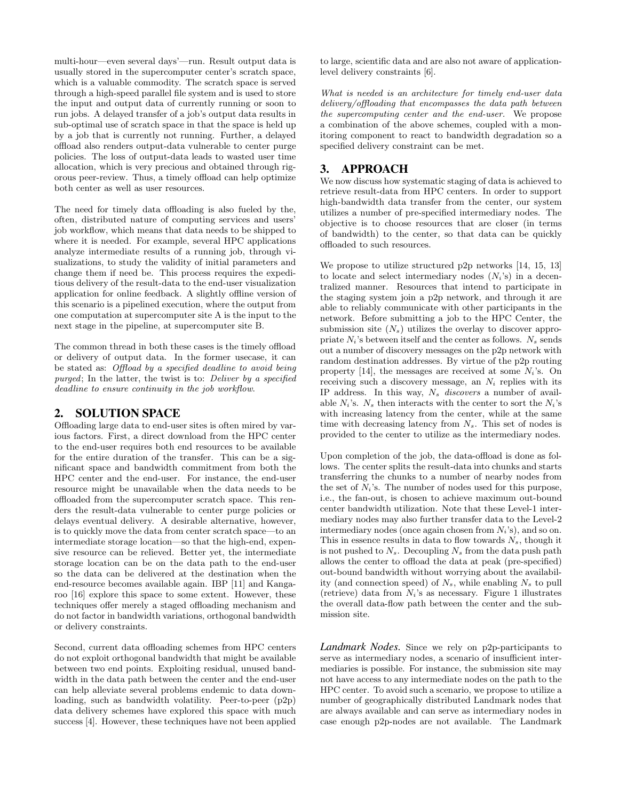multi-hour—even several days'—run. Result output data is usually stored in the supercomputer center's scratch space, which is a valuable commodity. The scratch space is served through a high-speed parallel file system and is used to store the input and output data of currently running or soon to run jobs. A delayed transfer of a job's output data results in sub-optimal use of scratch space in that the space is held up by a job that is currently not running. Further, a delayed offload also renders output-data vulnerable to center purge policies. The loss of output-data leads to wasted user time allocation, which is very precious and obtained through rigorous peer-review. Thus, a timely offload can help optimize both center as well as user resources.

The need for timely data offloading is also fueled by the, often, distributed nature of computing services and users' job workflow, which means that data needs to be shipped to where it is needed. For example, several HPC applications analyze intermediate results of a running job, through visualizations, to study the validity of initial parameters and change them if need be. This process requires the expeditious delivery of the result-data to the end-user visualization application for online feedback. A slightly offline version of this scenario is a pipelined execution, where the output from one computation at supercomputer site A is the input to the next stage in the pipeline, at supercomputer site B.

The common thread in both these cases is the timely offload or delivery of output data. In the former usecase, it can be stated as: Offload by a specified deadline to avoid being purged; In the latter, the twist is to: Deliver by a specified deadline to ensure continuity in the job workflow.

# **2. SOLUTION SPACE**

Offloading large data to end-user sites is often mired by various factors. First, a direct download from the HPC center to the end-user requires both end resources to be available for the entire duration of the transfer. This can be a significant space and bandwidth commitment from both the HPC center and the end-user. For instance, the end-user resource might be unavailable when the data needs to be offloaded from the supercomputer scratch space. This renders the result-data vulnerable to center purge policies or delays eventual delivery. A desirable alternative, however, is to quickly move the data from center scratch space—to an intermediate storage location—so that the high-end, expensive resource can be relieved. Better yet, the intermediate storage location can be on the data path to the end-user so the data can be delivered at the destination when the end-resource becomes available again. IBP [11] and Kangaroo [16] explore this space to some extent. However, these techniques offer merely a staged offloading mechanism and do not factor in bandwidth variations, orthogonal bandwidth or delivery constraints.

Second, current data offloading schemes from HPC centers do not exploit orthogonal bandwidth that might be available between two end points. Exploiting residual, unused bandwidth in the data path between the center and the end-user can help alleviate several problems endemic to data downloading, such as bandwidth volatility. Peer-to-peer (p2p) data delivery schemes have explored this space with much success [4]. However, these techniques have not been applied to large, scientific data and are also not aware of applicationlevel delivery constraints [6].

What is needed is an architecture for timely end-user data delivery/offloading that encompasses the data path between the supercomputing center and the end-user. We propose a combination of the above schemes, coupled with a monitoring component to react to bandwidth degradation so a specified delivery constraint can be met.

## **3. APPROACH**

We now discuss how systematic staging of data is achieved to retrieve result-data from HPC centers. In order to support high-bandwidth data transfer from the center, our system utilizes a number of pre-specified intermediary nodes. The objective is to choose resources that are closer (in terms of bandwidth) to the center, so that data can be quickly offloaded to such resources.

We propose to utilize structured p2p networks [14, 15, 13] to locate and select intermediary nodes  $(N_i)$  in a decentralized manner. Resources that intend to participate in the staging system join a p2p network, and through it are able to reliably communicate with other participants in the network. Before submitting a job to the HPC Center, the submission site  $(N_s)$  utilizes the overlay to discover appropriate  $N_i$ 's between itself and the center as follows.  $N_s$  sends out a number of discovery messages on the p2p network with random destination addresses. By virtue of the p2p routing property [14], the messages are received at some  $N_i$ 's. On receiving such a discovery message, an  $N_i$  replies with its IP address. In this way,  $N_s$  discovers a number of available  $N_i$ 's.  $N_s$  then interacts with the center to sort the  $N_i$ 's with increasing latency from the center, while at the same time with decreasing latency from  $N_s$ . This set of nodes is provided to the center to utilize as the intermediary nodes.

Upon completion of the job, the data-offload is done as follows. The center splits the result-data into chunks and starts transferring the chunks to a number of nearby nodes from the set of  $N_i$ 's. The number of nodes used for this purpose, i.e., the fan-out, is chosen to achieve maximum out-bound center bandwidth utilization. Note that these Level-1 intermediary nodes may also further transfer data to the Level-2 intermediary nodes (once again chosen from  $N_i$ 's), and so on. This in essence results in data to flow towards  $N_s$ , though it is not pushed to  $N_s$ . Decoupling  $N_s$  from the data push path allows the center to offload the data at peak (pre-specified) out-bound bandwidth without worrying about the availability (and connection speed) of  $N_s$ , while enabling  $N_s$  to pull (retrieve) data from  $N_i$ 's as necessary. Figure 1 illustrates the overall data-flow path between the center and the submission site.

*Landmark Nodes.* Since we rely on p2p-participants to serve as intermediary nodes, a scenario of insufficient intermediaries is possible. For instance, the submission site may not have access to any intermediate nodes on the path to the HPC center. To avoid such a scenario, we propose to utilize a number of geographically distributed Landmark nodes that are always available and can serve as intermediary nodes in case enough p2p-nodes are not available. The Landmark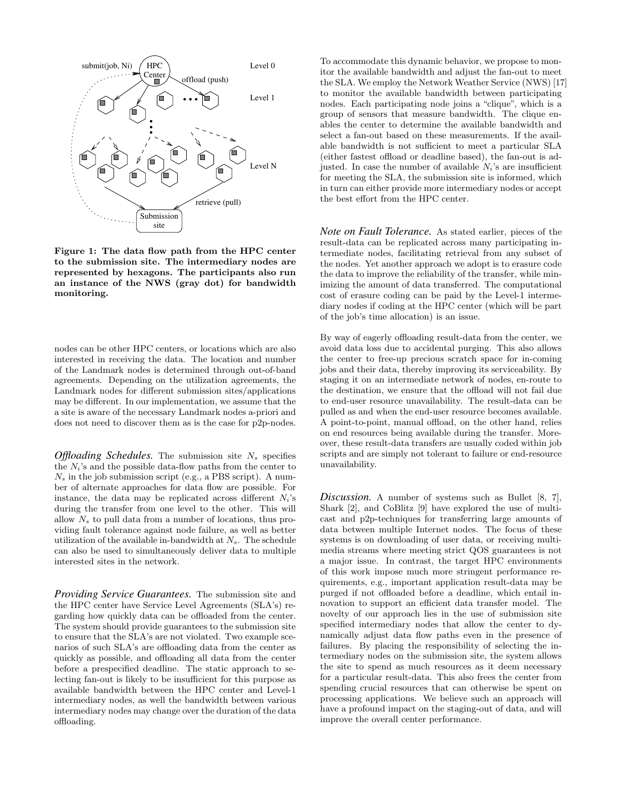

Figure 1: The data flow path from the HPC center to the submission site. The intermediary nodes are represented by hexagons. The participants also run an instance of the NWS (gray dot) for bandwidth monitoring.

nodes can be other HPC centers, or locations which are also interested in receiving the data. The location and number of the Landmark nodes is determined through out-of-band agreements. Depending on the utilization agreements, the Landmark nodes for different submission sites/applications may be different. In our implementation, we assume that the a site is aware of the necessary Landmark nodes a-priori and does not need to discover them as is the case for p2p-nodes.

*Offloading Schedules.* The submission site  $N_s$  specifies the  $N_i$ 's and the possible data-flow paths from the center to  $N<sub>s</sub>$  in the job submission script (e.g., a PBS script). A number of alternate approaches for data flow are possible. For instance, the data may be replicated across different  $N_i$ 's during the transfer from one level to the other. This will allow  $N_s$  to pull data from a number of locations, thus providing fault tolerance against node failure, as well as better utilization of the available in-bandwidth at  $N_s$ . The schedule can also be used to simultaneously deliver data to multiple interested sites in the network.

*Providing Service Guarantees.* The submission site and the HPC center have Service Level Agreements (SLA's) regarding how quickly data can be offloaded from the center. The system should provide guarantees to the submission site to ensure that the SLA's are not violated. Two example scenarios of such SLA's are offloading data from the center as quickly as possible, and offloading all data from the center before a prespecified deadline. The static approach to selecting fan-out is likely to be insufficient for this purpose as available bandwidth between the HPC center and Level-1 intermediary nodes, as well the bandwidth between various intermediary nodes may change over the duration of the data offloading.

To accommodate this dynamic behavior, we propose to monitor the available bandwidth and adjust the fan-out to meet the SLA. We employ the Network Weather Service (NWS) [17] to monitor the available bandwidth between participating nodes. Each participating node joins a "clique", which is a group of sensors that measure bandwidth. The clique enables the center to determine the available bandwidth and select a fan-out based on these measurements. If the available bandwidth is not sufficient to meet a particular SLA (either fastest offload or deadline based), the fan-out is adjusted. In case the number of available  $N_i$ 's are insufficient for meeting the SLA, the submission site is informed, which in turn can either provide more intermediary nodes or accept the best effort from the HPC center.

*Note on Fault Tolerance.* As stated earlier, pieces of the result-data can be replicated across many participating intermediate nodes, facilitating retrieval from any subset of the nodes. Yet another approach we adopt is to erasure code the data to improve the reliability of the transfer, while minimizing the amount of data transferred. The computational cost of erasure coding can be paid by the Level-1 intermediary nodes if coding at the HPC center (which will be part of the job's time allocation) is an issue.

By way of eagerly offloading result-data from the center, we avoid data loss due to accidental purging. This also allows the center to free-up precious scratch space for in-coming jobs and their data, thereby improving its serviceability. By staging it on an intermediate network of nodes, en-route to the destination, we ensure that the offload will not fail due to end-user resource unavailability. The result-data can be pulled as and when the end-user resource becomes available. A point-to-point, manual offload, on the other hand, relies on end resources being available during the transfer. Moreover, these result-data transfers are usually coded within job scripts and are simply not tolerant to failure or end-resource unavailability.

*Discussion.* A number of systems such as Bullet [8, 7], Shark [2], and CoBlitz [9] have explored the use of multicast and p2p-techniques for transferring large amounts of data between multiple Internet nodes. The focus of these systems is on downloading of user data, or receiving multimedia streams where meeting strict QOS guarantees is not a major issue. In contrast, the target HPC environments of this work impose much more stringent performance requirements, e.g., important application result-data may be purged if not offloaded before a deadline, which entail innovation to support an efficient data transfer model. The novelty of our approach lies in the use of submission site specified intermediary nodes that allow the center to dynamically adjust data flow paths even in the presence of failures. By placing the responsibility of selecting the intermediary nodes on the submission site, the system allows the site to spend as much resources as it deem necessary for a particular result-data. This also frees the center from spending crucial resources that can otherwise be spent on processing applications. We believe such an approach will have a profound impact on the staging-out of data, and will improve the overall center performance.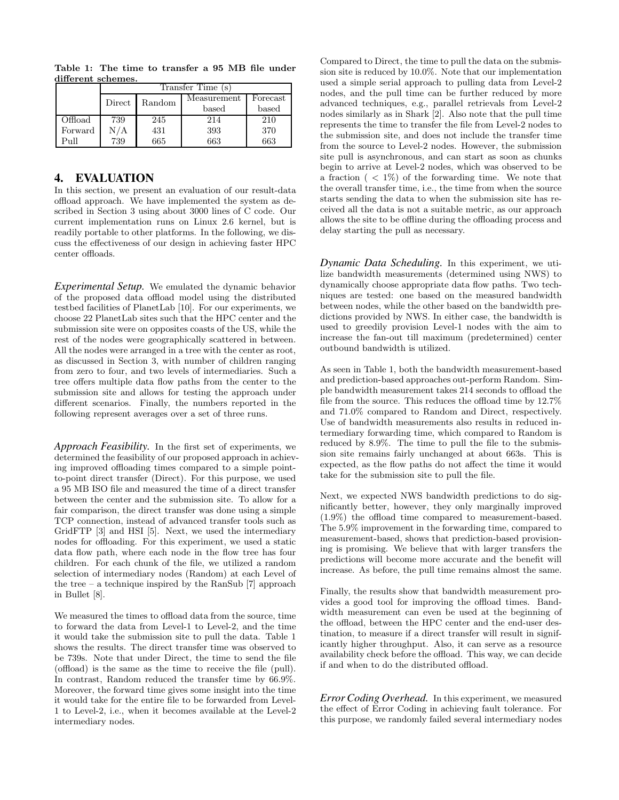|         | Transfer Time (s) |        |             |          |
|---------|-------------------|--------|-------------|----------|
|         | Direct            | Random | Measurement | Forecast |
|         |                   |        | based       | based    |
| Offload | 739               | 245    | 214         | 210      |
| Forward | N/A               | 431    | 393         | 370      |
| וווי?   | 739               | 665    | 663         | 663      |

Table 1: The time to transfer a 95 MB file under different schemes.

# **4. EVALUATION**

In this section, we present an evaluation of our result-data offload approach. We have implemented the system as described in Section 3 using about 3000 lines of C code. Our current implementation runs on Linux 2.6 kernel, but is readily portable to other platforms. In the following, we discuss the effectiveness of our design in achieving faster HPC center offloads.

*Experimental Setup.* We emulated the dynamic behavior of the proposed data offload model using the distributed testbed facilities of PlanetLab [10]. For our experiments, we choose 22 PlanetLab sites such that the HPC center and the submission site were on opposites coasts of the US, while the rest of the nodes were geographically scattered in between. All the nodes were arranged in a tree with the center as root, as discussed in Section 3, with number of children ranging from zero to four, and two levels of intermediaries. Such a tree offers multiple data flow paths from the center to the submission site and allows for testing the approach under different scenarios. Finally, the numbers reported in the following represent averages over a set of three runs.

*Approach Feasibility.* In the first set of experiments, we determined the feasibility of our proposed approach in achieving improved offloading times compared to a simple pointto-point direct transfer (Direct). For this purpose, we used a 95 MB ISO file and measured the time of a direct transfer between the center and the submission site. To allow for a fair comparison, the direct transfer was done using a simple TCP connection, instead of advanced transfer tools such as GridFTP [3] and HSI [5]. Next, we used the intermediary nodes for offloading. For this experiment, we used a static data flow path, where each node in the flow tree has four children. For each chunk of the file, we utilized a random selection of intermediary nodes (Random) at each Level of the tree – a technique inspired by the RanSub [7] approach in Bullet [8].

We measured the times to offload data from the source, time to forward the data from Level-1 to Level-2, and the time it would take the submission site to pull the data. Table 1 shows the results. The direct transfer time was observed to be 739s. Note that under Direct, the time to send the file (offload) is the same as the time to receive the file (pull). In contrast, Random reduced the transfer time by 66.9%. Moreover, the forward time gives some insight into the time it would take for the entire file to be forwarded from Level-1 to Level-2, i.e., when it becomes available at the Level-2 intermediary nodes.

Compared to Direct, the time to pull the data on the submission site is reduced by 10.0%. Note that our implementation used a simple serial approach to pulling data from Level-2 nodes, and the pull time can be further reduced by more advanced techniques, e.g., parallel retrievals from Level-2 nodes similarly as in Shark [2]. Also note that the pull time represents the time to transfer the file from Level-2 nodes to the submission site, and does not include the transfer time from the source to Level-2 nodes. However, the submission site pull is asynchronous, and can start as soon as chunks begin to arrive at Level-2 nodes, which was observed to be a fraction  $($  < 1%) of the forwarding time. We note that the overall transfer time, i.e., the time from when the source starts sending the data to when the submission site has received all the data is not a suitable metric, as our approach allows the site to be offline during the offloading process and delay starting the pull as necessary.

*Dynamic Data Scheduling.* In this experiment, we utilize bandwidth measurements (determined using NWS) to dynamically choose appropriate data flow paths. Two techniques are tested: one based on the measured bandwidth between nodes, while the other based on the bandwidth predictions provided by NWS. In either case, the bandwidth is used to greedily provision Level-1 nodes with the aim to increase the fan-out till maximum (predetermined) center outbound bandwidth is utilized.

As seen in Table 1, both the bandwidth measurement-based and prediction-based approaches out-perform Random. Simple bandwidth measurement takes 214 seconds to offload the file from the source. This reduces the offload time by 12.7% and 71.0% compared to Random and Direct, respectively. Use of bandwidth measurements also results in reduced intermediary forwarding time, which compared to Random is reduced by 8.9%. The time to pull the file to the submission site remains fairly unchanged at about 663s. This is expected, as the flow paths do not affect the time it would take for the submission site to pull the file.

Next, we expected NWS bandwidth predictions to do significantly better, however, they only marginally improved (1.9%) the offload time compared to measurement-based. The 5.9% improvement in the forwarding time, compared to measurement-based, shows that prediction-based provisioning is promising. We believe that with larger transfers the predictions will become more accurate and the benefit will increase. As before, the pull time remains almost the same.

Finally, the results show that bandwidth measurement provides a good tool for improving the offload times. Bandwidth measurement can even be used at the beginning of the offload, between the HPC center and the end-user destination, to measure if a direct transfer will result in significantly higher throughput. Also, it can serve as a resource availability check before the offload. This way, we can decide if and when to do the distributed offload.

*Error Coding Overhead.* In this experiment, we measured the effect of Error Coding in achieving fault tolerance. For this purpose, we randomly failed several intermediary nodes